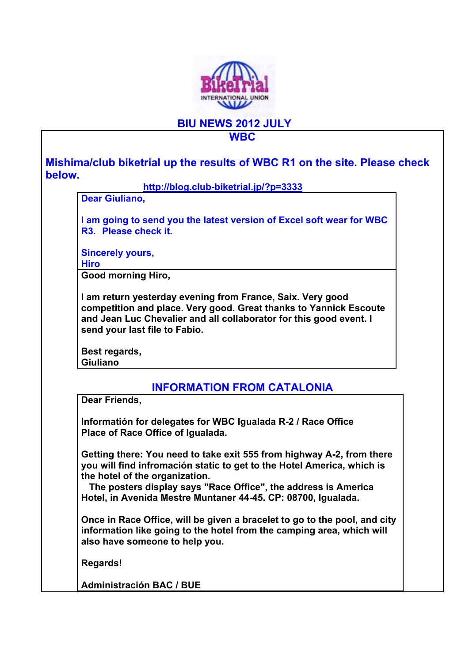

**BIU NEWS 2012 JULY** 

## **WBC**

**Mishima/club biketrial up the results of WBC R1 on the site. Please check below.** 

**http://blog.club-biketrial.jp/?p=3333**

**Dear Giuliano,** 

**I am going to send you the latest version of Excel soft wear for WBC R3. Please check it.** 

**Sincerely yours,** 

**Hiro** 

**Good morning Hiro,** 

**I am return yesterday evening from France, Saix. Very good competition and place. Very good. Great thanks to Yannick Escoute and Jean Luc Chevalier and all collaborator for this good event. I send your last file to Fabio.** 

**Best regards, Giuliano** 

## **INFORMATION FROM CATALONIA**

**Dear Friends,** 

**Informatión for delegates for WBC Igualada R-2 / Race Office Place of Race Office of Igualada.** 

**Getting there: You need to take exit 555 from highway A-2, from there you will find infromación static to get to the Hotel America, which is the hotel of the organization.** 

 **The posters display says "Race Office", the address is America Hotel, in Avenida Mestre Muntaner 44-45. CP: 08700, Igualada.** 

**Once in Race Office, will be given a bracelet to go to the pool, and city information like going to the hotel from the camping area, which will also have someone to help you.** 

**Regards!** 

**Administración BAC / BUE**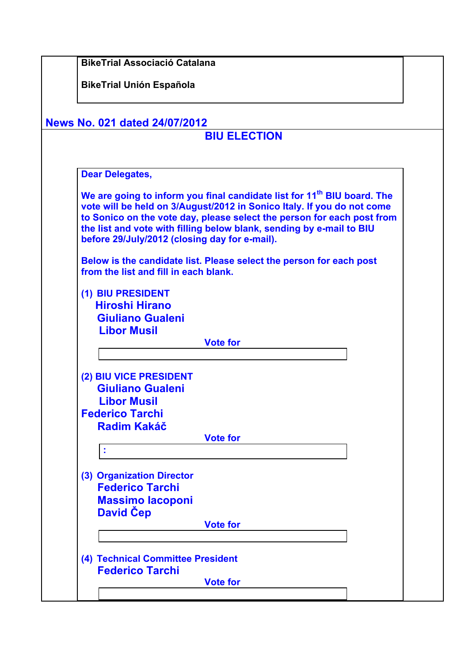| <b>News No. 021 dated 24/07/2012</b>                                                                                                                                                                                                                                                                                                                             |
|------------------------------------------------------------------------------------------------------------------------------------------------------------------------------------------------------------------------------------------------------------------------------------------------------------------------------------------------------------------|
| <b>BIU ELECTION</b>                                                                                                                                                                                                                                                                                                                                              |
| <b>Dear Delegates,</b>                                                                                                                                                                                                                                                                                                                                           |
| We are going to inform you final candidate list for 11 <sup>th</sup> BIU board. The<br>vote will be held on 3/August/2012 in Sonico Italy. If you do not come<br>to Sonico on the vote day, please select the person for each post from<br>the list and vote with filling below blank, sending by e-mail to BIU<br>before 29/July/2012 (closing day for e-mail). |
| Below is the candidate list. Please select the person for each post<br>from the list and fill in each blank.                                                                                                                                                                                                                                                     |
| (1) BIU PRESIDENT<br><b>Hiroshi Hirano</b><br><b>Giuliano Gualeni</b><br><b>Libor Musil</b>                                                                                                                                                                                                                                                                      |
| <b>Vote for</b>                                                                                                                                                                                                                                                                                                                                                  |
| (2) BIU VICE PRESIDENT<br><b>Giuliano Gualeni</b><br><b>Libor Musil</b>                                                                                                                                                                                                                                                                                          |
| <b>Federico Tarchi</b><br><b>Radim Kakáč</b><br><b>Vote for</b>                                                                                                                                                                                                                                                                                                  |
| ÷                                                                                                                                                                                                                                                                                                                                                                |
| (3) Organization Director<br><b>Federico Tarchi</b><br><b>Massimo lacoponi</b><br>David Čep                                                                                                                                                                                                                                                                      |
| <b>Vote for</b>                                                                                                                                                                                                                                                                                                                                                  |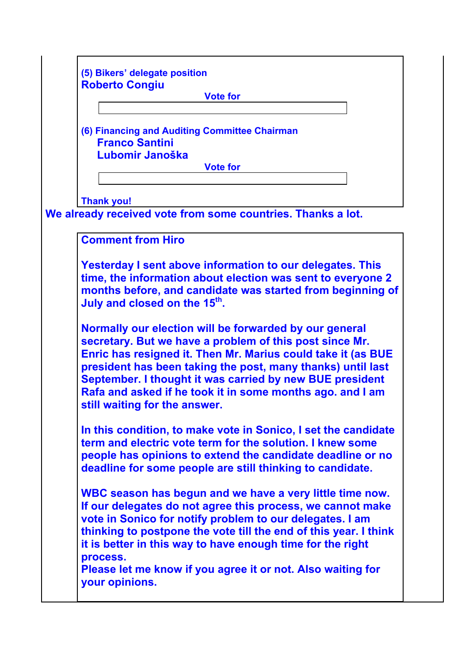